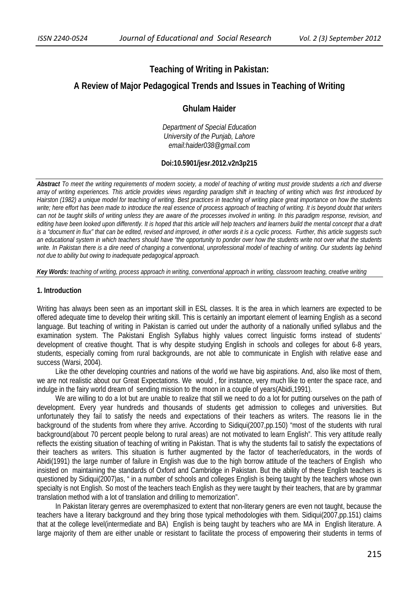# **Teaching of Writing in Pakistan:**

# **A Review of Major Pedagogical Trends and Issues in Teaching of Writing**

## **Ghulam Haider**

*Department of Special Education University of the Punjab, Lahore email:haider038@gmail.com* 

### **Doi:10.5901/jesr.2012.v2n3p215**

*Abstract To meet the writing requirements of modern society, a model of teaching of writing must provide students a rich and diverse array of writing experiences. This article provides views regarding paradigm shift in teaching of writing which was first introduced by Hairston (1982) a unique model for teaching of writing. Best practices in teaching of writing place great importance on how the students write; here effort has been made to introduce the real essence of process approach of teaching of writing. It is beyond doubt that writers can not be taught skills of writing unless they are aware of the processes involved in writing. In this paradigm response, revision, and editing have been looked upon differently. It is hoped that this article will help teachers and learners build the mental concept that a draft is a "document in flux" that can be edited, revised and improved, in other words it is a cyclic process. Further, this article suggests such an educational system in which teachers should have "the opportunity to ponder over how the students write not over what the students write. In Pakistan there is a dire need of changing a conventional, unprofessional model of teaching of writing. Our students lag behind not due to ability but owing to inadequate pedagogical approach.* 

*Key Words: teaching of writing, process approach in writing, conventional approach in writing, classroom teaching, creative writing* 

#### **1. Introduction**

Writing has always been seen as an important skill in ESL classes. It is the area in which learners are expected to be offered adequate time to develop their writing skill. This is certainly an important element of learning English as a second language. But teaching of writing in Pakistan is carried out under the authority of a nationally unified syllabus and the examination system. The Pakistani English Syllabus highly values correct linguistic forms instead of students' development of creative thought. That is why despite studying English in schools and colleges for about 6-8 years, students, especially coming from rural backgrounds, are not able to communicate in English with relative ease and success (Warsi, 2004).

 Like the other developing countries and nations of the world we have big aspirations. And, also like most of them, we are not realistic about our Great Expectations. We would , for instance, very much like to enter the space race, and indulge in the fairy world dream of sending mission to the moon in a couple of years(Abidi,1991).

We are willing to do a lot but are unable to realize that still we need to do a lot for putting ourselves on the path of development. Every year hundreds and thousands of students get admission to colleges and universities. But unfortunately they fail to satisfy the needs and expectations of their teachers as writers. The reasons lie in the background of the students from where they arrive. According to Sidiqui(2007,pp.150) "most of the students with rural background(about 70 percent people belong to rural areas) are not motivated to learn English". This very attitude really reflects the existing situation of teaching of writing in Pakistan. That is why the students fail to satisfy the expectations of their teachers as writers. This situation is further augmented by the factor of teacher/educators, in the words of Abidi(1991) the large number of failure in English was due to the high borrow attitude of the teachers of English who insisted on maintaining the standards of Oxford and Cambridge in Pakistan. But the ability of these English teachers is questioned by Sidiqui(2007)as, " in a number of schools and colleges English is being taught by the teachers whose own specialty is not English. So most of the teachers teach English as they were taught by their teachers, that are by grammar translation method with a lot of translation and drilling to memorization".

 In Pakistan literary genres are overemphasized to extent that non-literary geners are even not taught, because the teachers have a literary background and they bring those typical methodologies with them. Sidiqui(2007,pp.151) claims that at the college level(intermediate and BA) English is being taught by teachers who are MA in English literature. A large majority of them are either unable or resistant to facilitate the process of empowering their students in terms of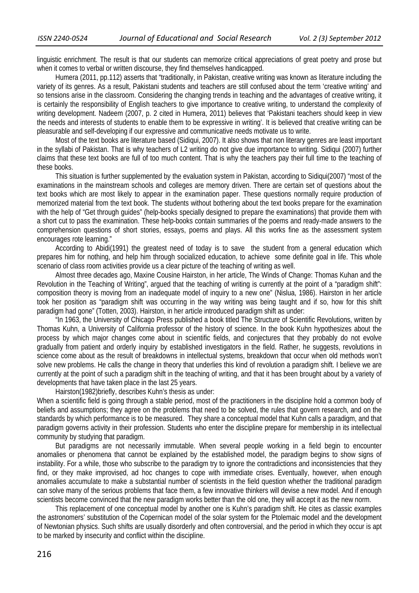linguistic enrichment. The result is that our students can memorize critical appreciations of great poetry and prose but when it comes to verbal or written discourse, they find themselves handicapped.

 Humera (2011, pp.112) asserts that "traditionally, in Pakistan, creative writing was known as literature including the variety of its genres. As a result, Pakistani students and teachers are still confused about the term 'creative writing' and so tensions arise in the classroom. Considering the changing trends in teaching and the advantages of creative writing, it is certainly the responsibility of English teachers to give importance to creative writing, to understand the complexity of writing development. Nadeem (2007, p. 2 cited in Humera, 2011) believes that 'Pakistani teachers should keep in view the needs and interests of students to enable them to be expressive in writing'. It is believed that creative writing can be pleasurable and self-developing if our expressive and communicative needs motivate us to write.

 Most of the text books are literature based (Sidiqui, 2007). It also shows that non literary genres are least important in the syllabi of Pakistan. That is why teachers of L2 writing do not give due importance to writing. Sidiqui (2007) further claims that these text books are full of too much content. That is why the teachers pay their full time to the teaching of these books.

 This situation is further supplemented by the evaluation system in Pakistan, according to Sidiqui(2007) "most of the examinations in the mainstream schools and colleges are memory driven. There are certain set of questions about the text books which are most likely to appear in the examination paper. These questions normally require production of memorized material from the text book. The students without bothering about the text books prepare for the examination with the help of "Get through guides" (help-books specially designed to prepare the examinations) that provide them with a short cut to pass the examination. These help-books contain summaries of the poems and ready-made answers to the comprehension questions of short stories, essays, poems and plays. All this works fine as the assessment system encourages rote learning."

 According to Abidi(1991) the greatest need of today is to save the student from a general education which prepares him for nothing, and help him through socialized education, to achieve some definite goal in life. This whole scenario of class room activities provide us a clear picture of the teaching of writing as well.

 Almost three decades ago, Maxine Cousine Hairston, in her article, The Winds of Change: Thomas Kuhan and the Revolution in the Teaching of Writing", argued that the teaching of writing is currently at the point of a "paradigm shift": composition theory is moving from an inadequate model of inquiry to a new one" (Nislua, 1986). Hairston in her article took her position as "paradigm shift was occurring in the way writing was being taught and if so, how for this shift paradigm had gone" (Totten, 2003). Hairston, in her article introduced paradigm shift as under:

 "In 1963, the University of Chicago Press published a book titled The Structure of Scientific Revolutions, written by Thomas Kuhn, a University of California professor of the history of science. In the book Kuhn hypothesizes about the process by which major changes come about in scientific fields, and conjectures that they probably do not evolve gradually from patient and orderly inquiry by established investigators in the field. Rather, he suggests, revolutions in science come about as the result of breakdowns in intellectual systems, breakdown that occur when old methods won't solve new problems. He calls the change in theory that underlies this kind of revolution a paradigm shift. I believe we are currently at the point of such a paradigm shift in the teaching of writing, and that it has been brought about by a variety of developments that have taken place in the last 25 years.

Hairston(1982)briefly, describes Kuhn's thesis as under:

When a scientific field is going through a stable period, most of the practitioners in the discipline hold a common body of beliefs and assumptions; they agree on the problems that need to be solved, the rules that govern research, and on the standards by which performance is to be measured. They share a conceptual model that Kuhn calls a paradigm, and that paradigm governs activity in their profession. Students who enter the discipline prepare for membership in its intellectual community by studying that paradigm.

 But paradigms are not necessarily immutable. When several people working in a field begin to encounter anomalies or phenomena that cannot be explained by the established model, the paradigm begins to show signs of instability. For a while, those who subscribe to the paradigm try to ignore the contradictions and inconsistencies that they find, or they make improvised, ad hoc changes to cope with immediate crises. Eventually, however, when enough anomalies accumulate to make a substantial number of scientists in the field question whether the traditional paradigm can solve many of the serious problems that face them, a few innovative thinkers will devise a new model. And if enough scientists become convinced that the new paradigm works better than the old one, they will accept it as the new norm.

 This replacement of one conceptual model by another one is Kuhn's paradigm shift. He cites as classic examples the astronomers' substitution of the Copernican model of the solar system for the Ptolemaic model and the development of Newtonian physics. Such shifts are usually disorderly and often controversial, and the period in which they occur is apt to be marked by insecurity and conflict within the discipline.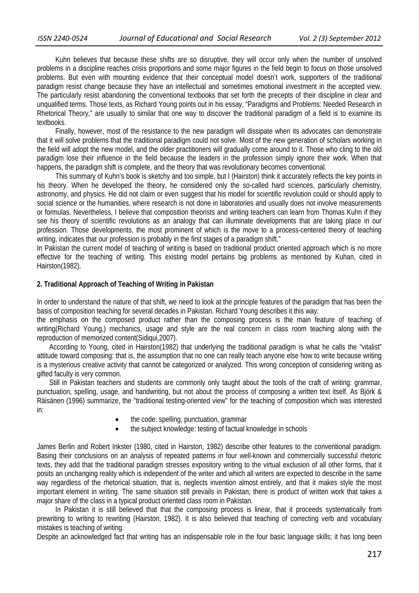Kuhn believes that because these shifts are so disruptive, they will occur only when the number of unsolved problems in a discipline reaches crisis proportions and some major figures in the field begin to focus on those unsolved problems. But even with mounting evidence that their conceptual model doesn't work, supporters of the traditional paradigm resist change because they have an intellectual and sometimes emotional investment in the accepted view. The particularly resist abandoning the conventional textbooks that set forth the precepts of their discipline in clear and unqualified terms. Those texts, as Richard Young points out in his essay, "Paradigms and Problems: Needed Research in Rhetorical Theory," are usually to similar that one way to discover the traditional paradigm of a field is to examine its textbooks.

 Finally, however, most of the resistance to the new paradigm will dissipate when its advocates can demonstrate that it will solve problems that the traditional paradigm could not solve. Most of the new generation of scholars working in the field will adopt the new model, and the older practitioners will gradually come around to it. Those who cling to the old paradigm lose their influence in the field because the leaders in the profession simply ignore their work. When that happens, the paradigm shift is complete, and the theory that was revolutionary becomes conventional.

 This summary of Kuhn's book is sketchy and too simple, but I (Hairston) think it accurately reflects the key points in his theory. When he developed the theory, he considered only the so-called hard sciences, particularly chemistry, astronomy, and physics. He did not claim or even suggest that his model for scientific revolution could or should apply to social science or the humanities, where research is not done in laboratories and usually does not involve measurements or formulas. Nevertheless, I believe that composition theorists and writing teachers can learn from Thomas Kuhn if they see his theory of scientific revolutions as an analogy that can illuminate developments that are taking place in our profession. Those developments, the most prominent of which is the move to a process-centered theory of teaching writing, indicates that our profession is probably in the first stages of a paradigm shift."

In Pakistan the current model of teaching of writing is based on traditional product oriented approach which is no more effective for the teaching of writing. This existing model pertains big problems as mentioned by Kuhan, cited in Hairston(1982).

#### **2. Traditional Approach of Teaching of Writing in Pakistan**

In order to understand the nature of that shift, we need to look at the principle features of the paradigm that has been the basis of composition teaching for several decades in Pakistan. Richard Young describes it this way:

the emphasis on the composed product rather than the composing process is the main feature of teaching of writing(Richard Young,) mechanics, usage and style are the real concern in class room teaching along with the reproduction of memorized content(Sidiqui,2007).

 According to Young, cited in Hairston(1982) that underlying the traditional paradigm is what he calls the "vitalist" attitude toward composing: that is, the assumption that no one can really teach anyone else how to write because writing is a mysterious creative activity that cannot be categorized or analyzed. This wrong conception of considering writing as gifted faculty is very common.

 Still in Pakistan teachers and students are commonly only taught about the tools of the craft of writing: grammar, punctuation, spelling, usage, and handwriting, but not about the process of composing a written text itself. As Björk & Räisänen (1996) summarize, the "traditional testing-oriented view" for the teaching of composition which was interested in:

- the code: spelling, punctuation, grammar
- the subject knowledge: testing of factual knowledge in schools

James Berlin and Robert Inkster (1980, cited in Hairston, 1982) describe other features to the conventional paradigm. Basing their conclusions on an analysis of repeated patterns in four well-known and commercially successful rhetoric texts, they add that the traditional paradigm stresses expository writing to the virtual exclusion of all other forms, that it posits an unchanging reality which is independent of the writer and which all writers are expected to describe in the same way regardless of the rhetorical situation, that is, neglects invention almost entirely, and that it makes style the most important element in writing. The same situation still prevails in Pakistan; there is product of written work that takes a major share of the class in a typical product oriented class room in Pakistan.

 In Pakistan it is still believed that that the composing process is linear, that it proceeds systematically from prewriting to writing to rewriting (Hairston, 1982). It is also believed that teaching of correcting verb and vocabulary mistakes is teaching of writing.

Despite an acknowledged fact that writing has an indispensable role in the four basic language skills; it has long been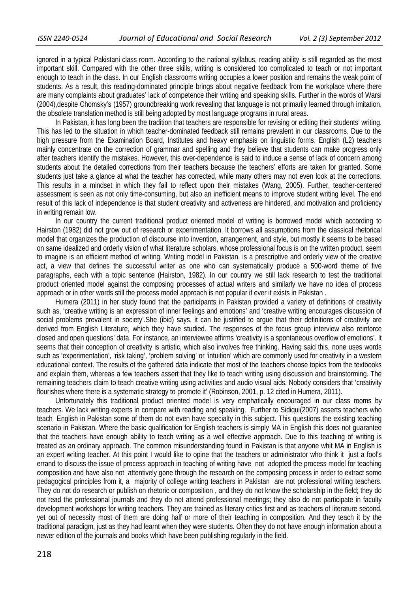ignored in a typical Pakistani class room. According to the national syllabus, reading ability is still regarded as the most important skill. Compared with the other three skills, writing is considered too complicated to teach or not important enough to teach in the class. In our English classrooms writing occupies a lower position and remains the weak point of students. As a result, this reading-dominated principle brings about negative feedback from the workplace where there are many complaints about graduates' lack of competence their writing and speaking skills. Further in the words of Warsi (2004),despite Chomsky's (1957) groundbreaking work revealing that language is not primarily learned through imitation, the obsolete translation method is still being adopted by most language programs in rural areas.

 In Pakistan, it has long been the tradition that teachers are responsible for revising or editing their students' writing. This has led to the situation in which teacher-dominated feedback still remains prevalent in our classrooms. Due to the high pressure from the Examination Board, Institutes and heavy emphasis on linguistic forms, English (L2) teachers mainly concentrate on the correction of grammar and spelling and they believe that students can make progress only after teachers identify the mistakes. However, this over-dependence is said to induce a sense of lack of concern among students about the detailed corrections from their teachers because the teachers' efforts are taken for granted. Some students just take a glance at what the teacher has corrected, while many others may not even look at the corrections. This results in a mindset in which they fail to reflect upon their mistakes (Wang, 2005). Further, teacher-centered assessment is seen as not only time-consuming, but also an inefficient means to improve student writing level. The end result of this lack of independence is that student creativity and activeness are hindered, and motivation and proficiency in writing remain low.

 In our country the current traditional product oriented model of writing is borrowed model which according to Hairston (1982) did not grow out of research or experimentation. It borrows all assumptions from the classical rhetorical model that organizes the production of discourse into invention, arrangement, and style, but mostly it seems to be based on same idealized and orderly vision of what literature scholars, whose professional focus is on the written product, seem to imagine is an efficient method of writing. Writing model in Pakistan, is a prescriptive and orderly view of the creative act, a view that defines the successful writer as one who can systematically produce a 500-word theme of five paragraphs, each with a topic sentence (Hairston, 1982). In our country we still lack research to test the traditional product oriented model against the composing processes of actual writers and similarly we have no idea of process approach or in other words still the process model approach is not popular if ever it exists in Pakistan .

 Humera (2011) in her study found that the participants in Pakistan provided a variety of definitions of creativity such as, 'creative writing is an expression of inner feelings and emotions' and 'creative writing encourages discussion of social problems prevalent in society'.She (ibid) says, it can be justified to argue that their definitions of creativity are derived from English Literature, which they have studied. The responses of the focus group interview also reinforce closed and open questions' data. For instance, an interviewee affirms 'creativity is a spontaneous overflow of emotions'. It seems that their conception of creativity is artistic, which also involves free thinking. Having said this, none uses words such as 'experimentation', 'risk taking', 'problem solving' or 'intuition' which are commonly used for creativity in a western educational context. The results of the gathered data indicate that most of the teachers choose topics from the textbooks and explain them, whereas a few teachers assert that they like to teach writing using discussion and brainstorming. The remaining teachers claim to teach creative writing using activities and audio visual aids. Nobody considers that 'creativity flourishes where there is a systematic strategy to promote it' (Robinson, 2001, p. 12 cited in Humera, 2011).

 Unfortunately this traditional product oriented model is very emphatically encouraged in our class rooms by teachers. We lack writing experts in compare with reading and speaking. Further to Sidiqui(2007) asserts teachers who teach English in Pakistan some of them do not even have specialty in this subject. This questions the existing teaching scenario in Pakistan. Where the basic qualification for English teachers is simply MA in English this does not guarantee that the teachers have enough ability to teach writing as a well effective approach. Due to this teaching of writing is treated as an ordinary approach. The common misunderstanding found in Pakistan is that anyone whit MA in English is an expert writing teacher. At this point I would like to opine that the teachers or administrator who think it just a fool's errand to discuss the issue of process approach in teaching of writing have not adopted the process model for teaching composition and have also not attentively gone through the research on the composing process in order to extract some pedagogical principles from it, a majority of college writing teachers in Pakistan are not professional writing teachers. They do not do research or publish on rhetoric or composition , and they do not know the scholarship in the field; they do not read the professional journals and they do not attend professional meetings; they also do not participate in faculty development workshops for writing teachers. They are trained as literary critics first and as teachers of literature second, yet out of necessity most of them are doing half or more of their teaching in composition. And they teach it by the traditional paradigm, just as they had learnt when they were students. Often they do not have enough information about a newer edition of the journals and books which have been publishing regularly in the field.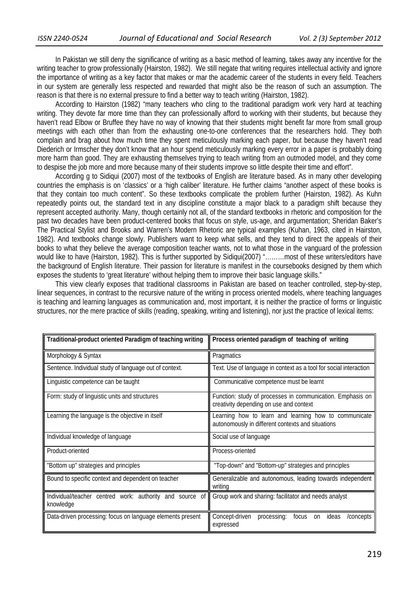In Pakistan we still deny the significance of writing as a basic method of learning, takes away any incentive for the writing teacher to grow professionally (Hairston, 1982). We still negate that writing requires intellectual activity and ignore the importance of writing as a key factor that makes or mar the academic career of the students in every field. Teachers in our system are generally less respected and rewarded that might also be the reason of such an assumption. The reason is that there is no external pressure to find a better way to teach writing (Hairston, 1982).

 According to Hairston (1982) "many teachers who cling to the traditional paradigm work very hard at teaching writing. They devote far more time than they can professionally afford to working with their students, but because they haven't read Elbow or Bruffee they have no way of knowing that their students might benefit far more from small group meetings with each other than from the exhausting one-to-one conferences that the researchers hold. They both complain and brag about how much time they spent meticulously marking each paper, but because they haven't read Diederich or Irmscher they don't know that an hour spend meticulously marking every error in a paper is probably doing more harm than good. They are exhausting themselves trying to teach writing from an outmoded model, and they come to despise the job more and more because many of their students improve so little despite their time and effort".

 According g to Sidiqui (2007) most of the textbooks of English are literature based. As in many other developing countries the emphasis is on 'classics' or a 'high caliber' literature. He further claims "another aspect of these books is that they contain too much content". So these textbooks complicate the problem further (Hairston, 1982). As Kuhn repeatedly points out, the standard text in any discipline constitute a major black to a paradigm shift because they represent accepted authority. Many, though certainly not all, of the standard textbooks in rhetoric and composition for the past two decades have been product-centered books that focus on style, us-age, and argumentation; Sheridan Baker's The Practical Stylist and Brooks and Warren's Modern Rhetoric are typical examples (Kuhan, 1963, cited in Hairston, 1982). And textbooks change slowly. Publishers want to keep what sells, and they tend to direct the appeals of their books to what they believe the average composition teacher wants, not to what those in the vanguard of the profession would like to have (Hairston, 1982). This is further supported by Sidiqui(2007) "........most of these writers/editors have the background of English literature. Their passion for literature is manifest in the coursebooks designed by them which exposes the students to 'great literature' without helping them to improve their basic language skills."

 This view clearly exposes that traditional classrooms in Pakistan are based on teacher controlled, step-by-step, linear sequences, in contrast to the recursive nature of the writing in process oriented models, where teaching languages is teaching and learning languages as communication and, most important, it is neither the practice of forms or linguistic structures, nor the mere practice of skills (reading, speaking, writing and listening), nor just the practice of lexical items:

| Traditional-product oriented Paradigm of teaching writing             | Process oriented paradigm of teaching of writing                                                           |
|-----------------------------------------------------------------------|------------------------------------------------------------------------------------------------------------|
| Morphology & Syntax                                                   | Pragmatics                                                                                                 |
| Sentence. Individual study of language out of context.                | Text. Use of language in context as a tool for social interaction                                          |
| Linguistic competence can be taught                                   | Communicative competence must be learnt                                                                    |
| Form: study of linguistic units and structures                        | Function: study of processes in communication. Emphasis on<br>creativity depending on use and context      |
| Learning the language is the objective in itself                      | Learning how to learn and learning how to communicate<br>autonomously in different contexts and situations |
| Individual knowledge of language                                      | Social use of language                                                                                     |
| Product-oriented                                                      | Process-oriented                                                                                           |
| "Bottom up" strategies and principles                                 | "Top-down" and "Bottom-up" strategies and principles                                                       |
| Bound to specific context and dependent on teacher                    | Generalizable and autonomous, leading towards independent<br>writing                                       |
| Individual/teacher centred work: authority and source of<br>knowledge | Group work and sharing: facilitator and needs analyst                                                      |
| Data-driven processing: focus on language elements present            | Concept-driven<br>processing:<br>ideas<br>focus<br>on<br>/concepts<br>expressed                            |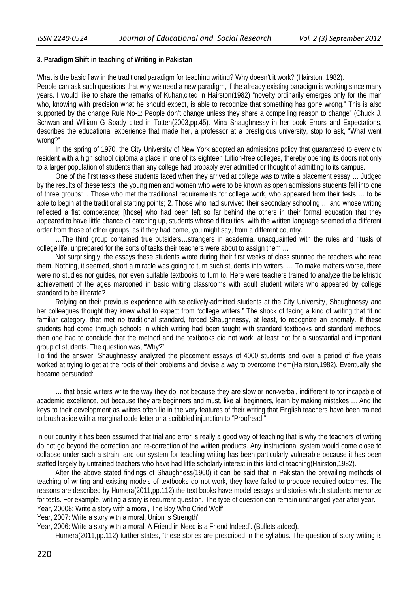#### **3. Paradigm Shift in teaching of Writing in Pakistan**

What is the basic flaw in the traditional paradigm for teaching writing? Why doesn't it work? (Hairston, 1982). People can ask such questions that why we need a new paradigm, if the already existing paradigm is working since many years. I would like to share the remarks of Kuhan,cited in Hairston(1982) "novelty ordinarily emerges only for the man who, knowing with precision what he should expect, is able to recognize that something has gone wrong." This is also supported by the change Rule No-1: People don't change unless they share a compelling reason to change" (Chuck J. Schwan and William G Spady cited in Totten(2003,pp.45). Mina Shaughnessy in her book Errors and Expectations, describes the educational experience that made her, a professor at a prestigious university, stop to ask, "What went wrong?"

 In the spring of 1970, the City University of New York adopted an admissions policy that guaranteed to every city resident with a high school diploma a place in one of its eighteen tuition-free colleges, thereby opening its doors not only to a larger population of students than any college had probably ever admitted or thought of admitting to its campus.

 One of the first tasks these students faced when they arrived at college was to write a placement essay … Judged by the results of these tests, the young men and women who were to be known as open admissions students fell into one of three groups: I. Those who met the traditional requirements for college work, who appeared from their tests … to be able to begin at the traditional starting points; 2. Those who had survived their secondary schooling … and whose writing reflected a flat competence; [those] who had been left so far behind the others in their formal education that they appeared to have little chance of catching up, students whose difficulties with the written language seemed of a different order from those of other groups, as if they had come, you might say, from a different country.

 …The third group contained true outsiders…strangers in academia, unacquainted with the rules and rituals of college life, unprepared for the sorts of tasks their teachers were about to assign them …

 Not surprisingly, the essays these students wrote during their first weeks of class stunned the teachers who read them. Nothing, it seemed, short a miracle was going to turn such students into writers. … To make matters worse, there were no studies nor guides, nor even suitable textbooks to turn to. Here were teachers trained to analyze the belletristic achievement of the ages marooned in basic writing classrooms with adult student writers who appeared by college standard to be illiterate?

 Relying on their previous experience with selectively-admitted students at the City University, Shaughnessy and her colleagues thought they knew what to expect from "college writers." The shock of facing a kind of writing that fit no familiar category, that met no traditional standard, forced Shaughnessy, at least, to recognize an anomaly. If these students had come through schools in which writing had been taught with standard textbooks and standard methods, then one had to conclude that the method and the textbooks did not work, at least not for a substantial and important group of students. The question was, "Why?"

To find the answer, Shaughnessy analyzed the placement essays of 4000 students and over a period of five years worked at trying to get at the roots of their problems and devise a way to overcome them(Hairston,1982). Eventually she became persuaded:

 … that basic writers write the way they do, not because they are slow or non-verbal, indifferent to tor incapable of academic excellence, but because they are beginners and must, like all beginners, learn by making mistakes … And the keys to their development as writers often lie in the very features of their writing that English teachers have been trained to brush aside with a marginal code letter or a scribbled injunction to "Proofread!"

In our country it has been assumed that trial and error is really a good way of teaching that is why the teachers of writing do not go beyond the correction and re-correction of the written products. Any instructional system would come close to collapse under such a strain, and our system for teaching writing has been particularly vulnerable because it has been staffed largely by untrained teachers who have had little scholarly interest in this kind of teaching(Hairston,1982).

 After the above stated findings of Shaughness(1960) it can be said that in Pakistan the prevailing methods of teaching of writing and existing models of textbooks do not work, they have failed to produce required outcomes. The reasons are described by Humera(2011,pp.112),the text books have model essays and stories which students memorize for tests. For example, writing a story is recurrent question. The type of question can remain unchanged year after year. Year, 20008: Write a story with a moral, The Boy Who Cried Wolf'

Year, 2007: Write a story with a moral, Union is Strength'

Year, 2006: Write a story with a moral, A Friend in Need is a Friend Indeed'. (Bullets added).

Humera(2011,pp.112) further states, "these stories are prescribed in the syllabus. The question of story writing is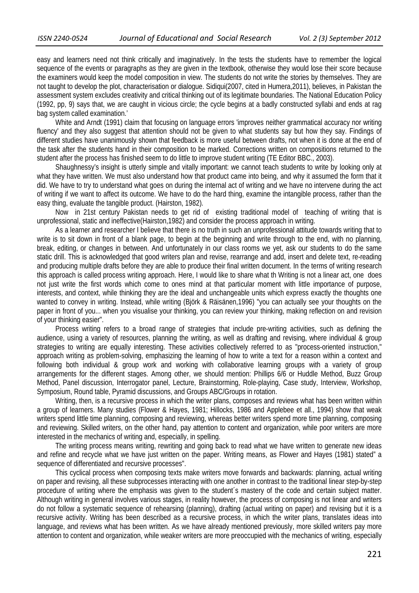easy and learners need not think critically and imaginatively. In the tests the students have to remember the logical sequence of the events or paragraphs as they are given in the textbook, otherwise they would lose their score because the examiners would keep the model composition in view. The students do not write the stories by themselves. They are not taught to develop the plot, characterisation or dialogue. Sidiqui(2007, cited in Humera,2011), believes, in Pakistan the assessment system excludes creativity and critical thinking out of its legitimate boundaries. The National Education Policy (1992, pp, 9) says that, we are caught in vicious circle; the cycle begins at a badly constructed syllabi and ends at rag bag system called examination.'

 White and Arndt (1991) claim that focusing on language errors 'improves neither grammatical accuracy nor writing fluency' and they also suggest that attention should not be given to what students say but how they say. Findings of different studies have unanimously shown that feedback is more useful between drafts, not when it is done at the end of the task after the students hand in their composition to be marked. Corrections written on compositions returned to the student after the process has finished seem to do little to improve student writing (TE Editor BBC., 2003).

 Shaughnessy's insight is utterly simple and vitally important: we cannot teach students to write by looking only at what they have written. We must also understand how that product came into being, and why it assumed the form that it did. We have to try to understand what goes on during the internal act of writing and we have no intervene during the act of writing if we want to affect its outcome. We have to do the hard thing, examine the intangible process, rather than the easy thing, evaluate the tangible product. (Hairston, 1982).

 Now in 21st century Pakistan needs to get rid of existing traditional model of teaching of writing that is unprofessional, static and ineffective(Hairston,1982) and consider the process approach in writing.

 As a learner and researcher I believe that there is no truth in such an unprofessional attitude towards writing that to write is to sit down in front of a blank page, to begin at the beginning and write through to the end, with no planning, break, editing, or changes in between. And unfortunately in our class rooms we yet, ask our students to do the same static drill. This is acknowledged that good writers plan and revise, rearrange and add, insert and delete text, re-reading and producing multiple drafts before they are able to produce their final written document. In the terms of writing research this approach is called process writing approach. Here, I would like to share what th Writing is not a linear act, one does not just write the first words which come to ones mind at that particular moment with little importance of purpose, interests, and context, while thinking they are the ideal and unchangeable units which express exactly the thoughts one wanted to convey in writing. Instead, while writing (Björk & Räisänen,1996) "you can actually see your thoughts on the paper in front of you... when you visualise your thinking, you can review your thinking, making reflection on and revision of your thinking easier".

 Process writing refers to a broad range of strategies that include pre-writing activities, such as defining the audience, using a variety of resources, planning the writing, as well as drafting and revising, where individual & group strategies to writing are equally interesting. These activities collectively referred to as "process-oriented instruction," approach writing as problem-solving, emphasizing the learning of how to write a text for a reason within a context and following both individual & group work and working with collaborative learning groups with a variety of group arrangements for the different stages. Among other, we should mention: Phillips 6/6 or Huddle Method, Buzz Group Method, Panel discussion, Interrogator panel, Lecture, Brainstorming, Role-playing, Case study, Interview, Workshop, Symposium, Round table, Pyramid discussions, and Groups ABC/Groups in rotation.

 Writing, then, is a recursive process in which the writer plans, composes and reviews what has been written within a group of learners. Many studies (Flower & Hayes, 1981; Hillocks, 1986 and Applebee et all., 1994) show that weak writers spend little time planning, composing and reviewing, whereas better writers spend more time planning, composing and reviewing. Skilled writers, on the other hand, pay attention to content and organization, while poor writers are more interested in the mechanics of writing and, especially, in spelling.

 The writing process means writing, rewriting and going back to read what we have written to generate new ideas and refine and recycle what we have just written on the paper. Writing means, as Flower and Hayes (1981) stated" a sequence of differentiated and recursive processes".

 This cyclical process when composing texts make writers move forwards and backwards: planning, actual writing on paper and revising, all these subprocesses interacting with one another in contrast to the traditional linear step-by-step procedure of writing where the emphasis was given to the student´s mastery of the code and certain subject matter. Although writing in general involves various stages, in reality however, the process of composing is not linear and writers do not follow a systematic sequence of rehearsing (planning), drafting (actual writing on paper) and revising but it is a recursive activity. Writing has been described as a recursive process, in which the writer plans, translates ideas into language, and reviews what has been written. As we have already mentioned previously, more skilled writers pay more attention to content and organization, while weaker writers are more preoccupied with the mechanics of writing, especially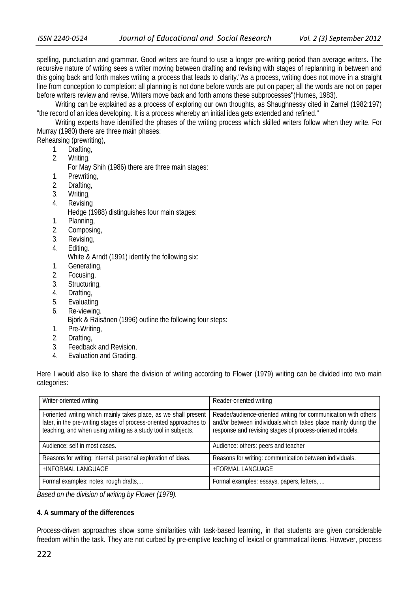spelling, punctuation and grammar. Good writers are found to use a longer pre-writing period than average writers. The recursive nature of writing sees a writer moving between drafting and revising with stages of replanning in between and this going back and forth makes writing a process that leads to clarity."As a process, writing does not move in a straight line from conception to completion: all planning is not done before words are put on paper; all the words are not on paper before writers review and revise. Writers move back and forth amons these subprocesses"(Humes, 1983).

 Writing can be explained as a process of exploring our own thoughts, as Shaughnessy cited in Zamel (1982:197) "the record of an idea developing. It is a process whereby an initial idea gets extended and refined."

 Writing experts have identified the phases of the writing process which skilled writers follow when they write. For Murray (1980) there are three main phases:

Rehearsing (prewriting),

- 1. Drafting,
- 2. Writing.
	- For May Shih (1986) there are three main stages:
- 1. Prewriting,
- 2. Drafting,
- 3. Writing,
- 4. Revising
- Hedge (1988) distinguishes four main stages:
- 1. Planning,
- 2. Composing,
- 3. Revising,
- 4. Editing.
- White & Arndt (1991) identify the following six:
- 1. Generating,
- 2. Focusing,
- 3. Structuring,
- 4. Drafting,
- 5. Evaluating
- 6. Re-viewing.
	- Björk & Räisänen (1996) outline the following four steps:
- 1. Pre-Writing,
- 2. Drafting,
- 3. Feedback and Revision,
- 4. Evaluation and Grading.

| Writer-oriented writing                                                                                                                                                                                 | Reader-oriented writing                                                                                                                                                                      |
|---------------------------------------------------------------------------------------------------------------------------------------------------------------------------------------------------------|----------------------------------------------------------------------------------------------------------------------------------------------------------------------------------------------|
| I-oriented writing which mainly takes place, as we shall present<br>later, in the pre-writing stages of process-oriented approaches to<br>teaching, and when using writing as a study tool in subjects. | Reader/audience-oriented writing for communication with others<br>and/or between individuals.which takes place mainly during the<br>response and revising stages of process-oriented models. |
| Audience: self in most cases.                                                                                                                                                                           | Audience: others: peers and teacher                                                                                                                                                          |
| Reasons for writing: internal, personal exploration of ideas.                                                                                                                                           | Reasons for writing: communication between individuals.                                                                                                                                      |
| +INFORMAL LANGUAGE                                                                                                                                                                                      | +FORMAL LANGUAGE                                                                                                                                                                             |
| Formal examples: notes, rough drafts,                                                                                                                                                                   | Formal examples: essays, papers, letters,                                                                                                                                                    |

Here I would also like to share the division of writing according to Flower (1979) writing can be divided into two main categories:

*Based on the division of writing by Flower (1979).* 

#### **4. A summary of the differences**

Process-driven approaches show some similarities with task-based learning, in that students are given considerable freedom within the task. They are not curbed by pre-emptive teaching of lexical or grammatical items. However, process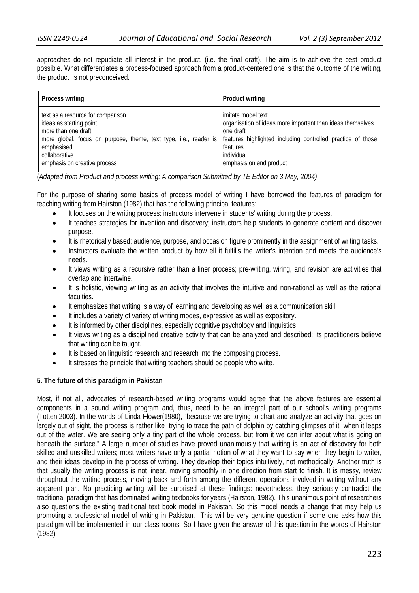approaches do not repudiate all interest in the product, (i.e. the final draft). The aim is to achieve the best product possible. What differentiates a process-focused approach from a product-centered one is that the outcome of the writing, the product, is not preconceived.

| <b>Process writing</b>                                                                                                                                                                                                                                                               | <b>Product writing</b>                                                                                                                             |
|--------------------------------------------------------------------------------------------------------------------------------------------------------------------------------------------------------------------------------------------------------------------------------------|----------------------------------------------------------------------------------------------------------------------------------------------------|
| text as a resource for comparison<br>ideas as starting point<br>more than one draft<br>more global, focus on purpose, theme, text type, i.e., reader is   features highlighted including controlled practice of those<br>emphasised<br>collaborative<br>emphasis on creative process | imitate model text<br>organisation of ideas more important than ideas themselves<br>one draft<br>features<br>individual<br>emphasis on end product |

(*Adapted from Product and process writing: A comparison Submitted by TE Editor on 3 May, 2004)* 

For the purpose of sharing some basics of process model of writing I have borrowed the features of paradigm for teaching writing from Hairston (1982) that has the following principal features:

- It focuses on the writing process: instructors intervene in students' writing during the process.
- It teaches strategies for invention and discovery; instructors help students to generate content and discover purpose.
- It is rhetorically based; audience, purpose, and occasion figure prominently in the assignment of writing tasks.
- Instructors evaluate the written product by how ell it fulfills the writer's intention and meets the audience's needs.
- It views writing as a recursive rather than a liner process; pre-writing, wiring, and revision are activities that overlap and intertwine.
- It is holistic, viewing writing as an activity that involves the intuitive and non-rational as well as the rational faculties.
- It emphasizes that writing is a way of learning and developing as well as a communication skill.
- It includes a variety of variety of writing modes, expressive as well as expository.
- It is informed by other disciplines, especially cognitive psychology and linguistics
- It views writing as a disciplined creative activity that can be analyzed and described; its practitioners believe that writing can be taught.
- It is based on linguistic research and research into the composing process.
- It stresses the principle that writing teachers should be people who write.

## **5. The future of this paradigm in Pakistan**

Most, if not all, advocates of research-based writing programs would agree that the above features are essential components in a sound writing program and, thus, need to be an integral part of our school's writing programs (Totten,2003). In the words of Linda Flower(1980), "because we are trying to chart and analyze an activity that goes on largely out of sight, the process is rather like trying to trace the path of dolphin by catching glimpses of it when it leaps out of the water. We are seeing only a tiny part of the whole process, but from it we can infer about what is going on beneath the surface." A large number of studies have proved unanimously that writing is an act of discovery for both skilled and unskilled writers; most writers have only a partial notion of what they want to say when they begin to writer, and their ideas develop in the process of writing. They develop their topics intuitively, not methodically. Another truth is that usually the writing process is not linear, moving smoothly in one direction from start to finish. It is messy, review throughout the writing process, moving back and forth among the different operations involved in writing without any apparent plan. No practicing writing will be surprised at these findings: nevertheless, they seriously contradict the traditional paradigm that has dominated writing textbooks for years (Hairston, 1982). This unanimous point of researchers also questions the existing traditional text book model in Pakistan. So this model needs a change that may help us promoting a professional model of writing in Pakistan. This will be very genuine question if some one asks how this paradigm will be implemented in our class rooms. So I have given the answer of this question in the words of Hairston (1982)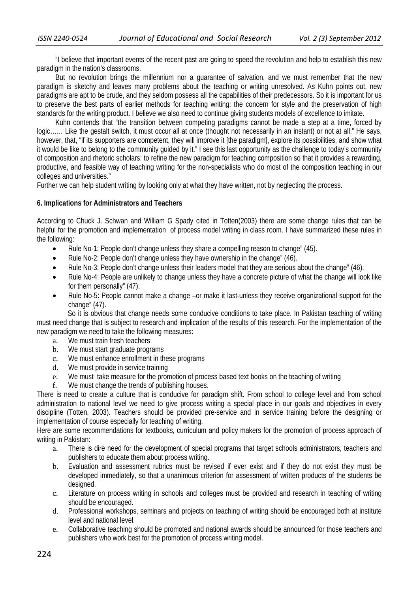"I believe that important events of the recent past are going to speed the revolution and help to establish this new paradigm in the nation's classrooms.

 But no revolution brings the millennium nor a guarantee of salvation, and we must remember that the new paradigm is sketchy and leaves many problems about the teaching or writing unresolved. As Kuhn points out, new paradigms are apt to be crude, and they seldom possess all the capabilities of their predecessors. So it is important for us to preserve the best parts of earlier methods for teaching writing: the concern for style and the preservation of high standards for the writing product. I believe we also need to continue giving students models of excellence to imitate.

 Kuhn contends that "the transition between competing paradigms cannot be made a step at a time, forced by logic…… Like the gestalt switch, it must occur all at once (thought not necessarily in an instant) or not at all." He says, however, that, "if its supporters are competent, they will improve it [the paradigm], explore its possibilities, and show what it would be like to belong to the community guided by it." I see this last opportunity as the challenge to today's community of composition and rhetoric scholars: to refine the new paradigm for teaching composition so that it provides a rewarding, productive, and feasible way of teaching writing for the non-specialists who do most of the composition teaching in our colleges and universities."

Further we can help student writing by looking only at what they have written, not by neglecting the process.

### **6. Implications for Administrators and Teachers**

According to Chuck J. Schwan and William G Spady cited in Totten(2003) there are some change rules that can be helpful for the promotion and implementation of process model writing in class room. I have summarized these rules in the following:

- Rule No-1: People don't change unless they share a compelling reason to change" (45).
- Rule No-2: People don't change unless they have ownership in the change" (46).
- Rule No-3: People don't change unless their leaders model that they are serious about the change" (46).
- Rule No-4: People are unlikely to change unless they have a concrete picture of what the change will look like for them personally" (47).
- Rule No-5: People cannot make a change –or make it last-unless they receive organizational support for the change" (47).

 So it is obvious that change needs some conducive conditions to take place. In Pakistan teaching of writing must need change that is subject to research and implication of the results of this research. For the implementation of the new paradigm we need to take the following measures:

- a. We must train fresh teachers
- b. We must start graduate programs
- c. We must enhance enrollment in these programs
- d. We must provide in service training
- e. We must take measure for the promotion of process based text books on the teaching of writing
- f. We must change the trends of publishing houses.

There is need to create a culture that is conducive for paradigm shift. From school to college level and from school administration to national level we need to give process writing a special place in our goals and objectives in every discipline (Totten, 2003). Teachers should be provided pre-service and in service training before the designing or implementation of course especially for teaching of writing.

Here are some recommendations for textbooks, curriculum and policy makers for the promotion of process approach of writing in Pakistan:

- a. There is dire need for the development of special programs that target schools administrators, teachers and publishers to educate them about process writing.
- b. Evaluation and assessment rubrics must be revised if ever exist and if they do not exist they must be developed immediately, so that a unanimous criterion for assessment of written products of the students be desianed.
- c. Literature on process writing in schools and colleges must be provided and research in teaching of writing should be encouraged.
- d. Professional workshops, seminars and projects on teaching of writing should be encouraged both at institute level and national level.
- e. Collaborative teaching should be promoted and national awards should be announced for those teachers and publishers who work best for the promotion of process writing model.